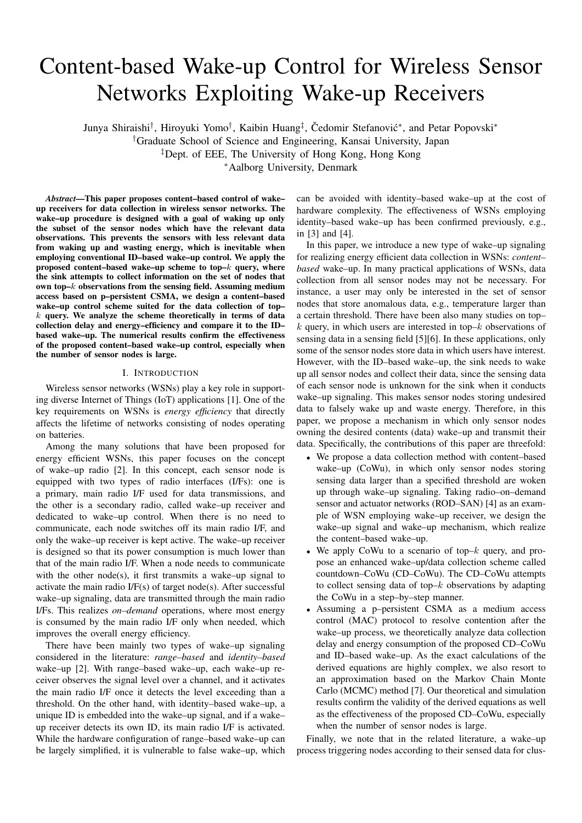# Content-based Wake-up Control for Wireless Sensor Networks Exploiting Wake-up Receivers

Junya Shiraishi<sup>†</sup>, Hiroyuki Yomo<sup>†</sup>, Kaibin Huang<sup>‡</sup>, Čedomir Stefanović\*, and Petar Popovski\*

*†*Graduate School of Science and Engineering, Kansai University, Japan

*‡*Dept. of EEE, The University of Hong Kong, Hong Kong

*∗*Aalborg University, Denmark

*Abstract*—This paper proposes content–based control of wake– up receivers for data collection in wireless sensor networks. The wake–up procedure is designed with a goal of waking up only the subset of the sensor nodes which have the relevant data observations. This prevents the sensors with less relevant data from waking up and wasting energy, which is inevitable when employing conventional ID–based wake–up control. We apply the proposed content–based wake–up scheme to top–*k* query, where the sink attempts to collect information on the set of nodes that own top–*k* observations from the sensing field. Assuming medium access based on p–persistent CSMA, we design a content–based wake–up control scheme suited for the data collection of top– *k* query. We analyze the scheme theoretically in terms of data collection delay and energy–efficiency and compare it to the ID– based wake–up. The numerical results confirm the effectiveness of the proposed content–based wake–up control, especially when the number of sensor nodes is large.

## I. INTRODUCTION

Wireless sensor networks (WSNs) play a key role in supporting diverse Internet of Things (IoT) applications [1]. One of the key requirements on WSNs is *energy efficiency* that directly affects the lifetime of networks consisting of nodes operating on batteries.

Among the many solutions that have been proposed for energy efficient WSNs, this paper focuses on the concept of wake–up radio [2]. In this concept, each sensor node is equipped with two types of radio interfaces (I/Fs): one is a primary, main radio I/F used for data transmissions, and the other is a secondary radio, called wake–up receiver and dedicated to wake–up control. When there is no need to communicate, each node switches off its main radio I/F, and only the wake–up receiver is kept active. The wake–up receiver is designed so that its power consumption is much lower than that of the main radio I/F. When a node needs to communicate with the other node(s), it first transmits a wake–up signal to activate the main radio I/F(s) of target node(s). After successful wake–up signaling, data are transmitted through the main radio I/Fs. This realizes *on–demand* operations, where most energy is consumed by the main radio I/F only when needed, which improves the overall energy efficiency.

There have been mainly two types of wake–up signaling considered in the literature: *range–based* and *identity–based* wake–up [2]. With range–based wake–up, each wake–up receiver observes the signal level over a channel, and it activates the main radio I/F once it detects the level exceeding than a threshold. On the other hand, with identity–based wake–up, a unique ID is embedded into the wake–up signal, and if a wake– up receiver detects its own ID, its main radio I/F is activated. While the hardware configuration of range–based wake–up can be largely simplified, it is vulnerable to false wake–up, which can be avoided with identity–based wake–up at the cost of hardware complexity. The effectiveness of WSNs employing identity–based wake–up has been confirmed previously, e.g., in [3] and [4].

In this paper, we introduce a new type of wake–up signaling for realizing energy efficient data collection in WSNs: *content– based* wake–up. In many practical applications of WSNs, data collection from all sensor nodes may not be necessary. For instance, a user may only be interested in the set of sensor nodes that store anomalous data, e.g., temperature larger than a certain threshold. There have been also many studies on top– *k* query, in which users are interested in top–*k* observations of sensing data in a sensing field [5][6]. In these applications, only some of the sensor nodes store data in which users have interest. However, with the ID–based wake–up, the sink needs to wake up all sensor nodes and collect their data, since the sensing data of each sensor node is unknown for the sink when it conducts wake–up signaling. This makes sensor nodes storing undesired data to falsely wake up and waste energy. Therefore, in this paper, we propose a mechanism in which only sensor nodes owning the desired contents (data) wake–up and transmit their data. Specifically, the contributions of this paper are threefold:

- *•* We propose a data collection method with content–based wake–up (CoWu), in which only sensor nodes storing sensing data larger than a specified threshold are woken up through wake–up signaling. Taking radio–on–demand sensor and actuator networks (ROD–SAN) [4] as an example of WSN employing wake–up receiver, we design the wake–up signal and wake–up mechanism, which realize the content–based wake–up.
- *•* We apply CoWu to a scenario of top–*k* query, and propose an enhanced wake–up/data collection scheme called countdown–CoWu (CD–CoWu). The CD–CoWu attempts to collect sensing data of top–*k* observations by adapting the CoWu in a step–by–step manner.
- *•* Assuming a p–persistent CSMA as a medium access control (MAC) protocol to resolve contention after the wake–up process, we theoretically analyze data collection delay and energy consumption of the proposed CD–CoWu and ID–based wake–up. As the exact calculations of the derived equations are highly complex, we also resort to an approximation based on the Markov Chain Monte Carlo (MCMC) method [7]. Our theoretical and simulation results confirm the validity of the derived equations as well as the effectiveness of the proposed CD–CoWu, especially when the number of sensor nodes is large.

Finally, we note that in the related literature, a wake–up process triggering nodes according to their sensed data for clus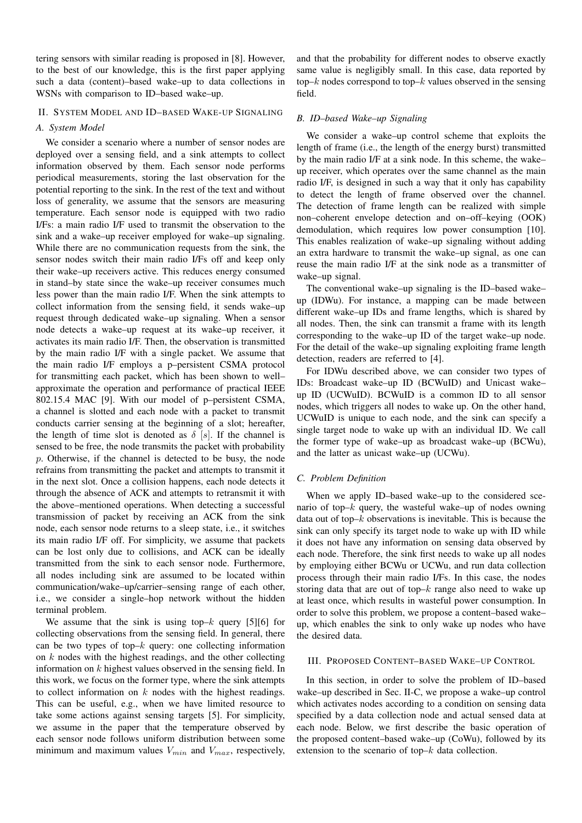tering sensors with similar reading is proposed in [8]. However, to the best of our knowledge, this is the first paper applying such a data (content)–based wake–up to data collections in WSNs with comparison to ID–based wake–up.

# II. SYSTEM MODEL AND ID–BASED WAKE-UP SIGNALING

## *A. System Model*

We consider a scenario where a number of sensor nodes are deployed over a sensing field, and a sink attempts to collect information observed by them. Each sensor node performs periodical measurements, storing the last observation for the potential reporting to the sink. In the rest of the text and without loss of generality, we assume that the sensors are measuring temperature. Each sensor node is equipped with two radio I/Fs: a main radio I/F used to transmit the observation to the sink and a wake–up receiver employed for wake–up signaling. While there are no communication requests from the sink, the sensor nodes switch their main radio I/Fs off and keep only their wake–up receivers active. This reduces energy consumed in stand–by state since the wake–up receiver consumes much less power than the main radio I/F. When the sink attempts to collect information from the sensing field, it sends wake–up request through dedicated wake–up signaling. When a sensor node detects a wake–up request at its wake–up receiver, it activates its main radio I/F. Then, the observation is transmitted by the main radio I/F with a single packet. We assume that the main radio I/F employs a p–persistent CSMA protocol for transmitting each packet, which has been shown to well– approximate the operation and performance of practical IEEE 802.15.4 MAC [9]. With our model of p–persistent CSMA, a channel is slotted and each node with a packet to transmit conducts carrier sensing at the beginning of a slot; hereafter, the length of time slot is denoted as  $\delta$  [*s*]. If the channel is sensed to be free, the node transmits the packet with probability *p*. Otherwise, if the channel is detected to be busy, the node refrains from transmitting the packet and attempts to transmit it in the next slot. Once a collision happens, each node detects it through the absence of ACK and attempts to retransmit it with the above–mentioned operations. When detecting a successful transmission of packet by receiving an ACK from the sink node, each sensor node returns to a sleep state, i.e., it switches its main radio I/F off. For simplicity, we assume that packets can be lost only due to collisions, and ACK can be ideally transmitted from the sink to each sensor node. Furthermore, all nodes including sink are assumed to be located within communication/wake–up/carrier–sensing range of each other, i.e., we consider a single–hop network without the hidden terminal problem.

We assume that the sink is using top– $k$  query [5][6] for collecting observations from the sensing field. In general, there can be two types of top–*k* query: one collecting information on *k* nodes with the highest readings, and the other collecting information on *k* highest values observed in the sensing field. In this work, we focus on the former type, where the sink attempts to collect information on *k* nodes with the highest readings. This can be useful, e.g., when we have limited resource to take some actions against sensing targets [5]. For simplicity, we assume in the paper that the temperature observed by each sensor node follows uniform distribution between some minimum and maximum values *Vmin* and *Vmax*, respectively,

and that the probability for different nodes to observe exactly same value is negligibly small. In this case, data reported by top–*k* nodes correspond to top–*k* values observed in the sensing field.

## *B. ID–based Wake–up Signaling*

We consider a wake–up control scheme that exploits the length of frame (i.e., the length of the energy burst) transmitted by the main radio I/F at a sink node. In this scheme, the wake– up receiver, which operates over the same channel as the main radio I/F, is designed in such a way that it only has capability to detect the length of frame observed over the channel. The detection of frame length can be realized with simple non–coherent envelope detection and on–off–keying (OOK) demodulation, which requires low power consumption [10]. This enables realization of wake–up signaling without adding an extra hardware to transmit the wake–up signal, as one can reuse the main radio I/F at the sink node as a transmitter of wake–up signal.

The conventional wake–up signaling is the ID–based wake– up (IDWu). For instance, a mapping can be made between different wake–up IDs and frame lengths, which is shared by all nodes. Then, the sink can transmit a frame with its length corresponding to the wake–up ID of the target wake–up node. For the detail of the wake–up signaling exploiting frame length detection, readers are referred to [4].

For IDWu described above, we can consider two types of IDs: Broadcast wake–up ID (BCWuID) and Unicast wake– up ID (UCWuID). BCWuID is a common ID to all sensor nodes, which triggers all nodes to wake up. On the other hand, UCWuID is unique to each node, and the sink can specify a single target node to wake up with an individual ID. We call the former type of wake–up as broadcast wake–up (BCWu), and the latter as unicast wake–up (UCWu).

## *C. Problem Definition*

When we apply ID–based wake–up to the considered scenario of top–*k* query, the wasteful wake–up of nodes owning data out of top–*k* observations is inevitable. This is because the sink can only specify its target node to wake up with ID while it does not have any information on sensing data observed by each node. Therefore, the sink first needs to wake up all nodes by employing either BCWu or UCWu, and run data collection process through their main radio I/Fs. In this case, the nodes storing data that are out of top–*k* range also need to wake up at least once, which results in wasteful power consumption. In order to solve this problem, we propose a content–based wake– up, which enables the sink to only wake up nodes who have the desired data.

## III. PROPOSED CONTENT–BASED WAKE–UP CONTROL

In this section, in order to solve the problem of ID–based wake–up described in Sec. II-C, we propose a wake–up control which activates nodes according to a condition on sensing data specified by a data collection node and actual sensed data at each node. Below, we first describe the basic operation of the proposed content–based wake–up (CoWu), followed by its extension to the scenario of top–*k* data collection.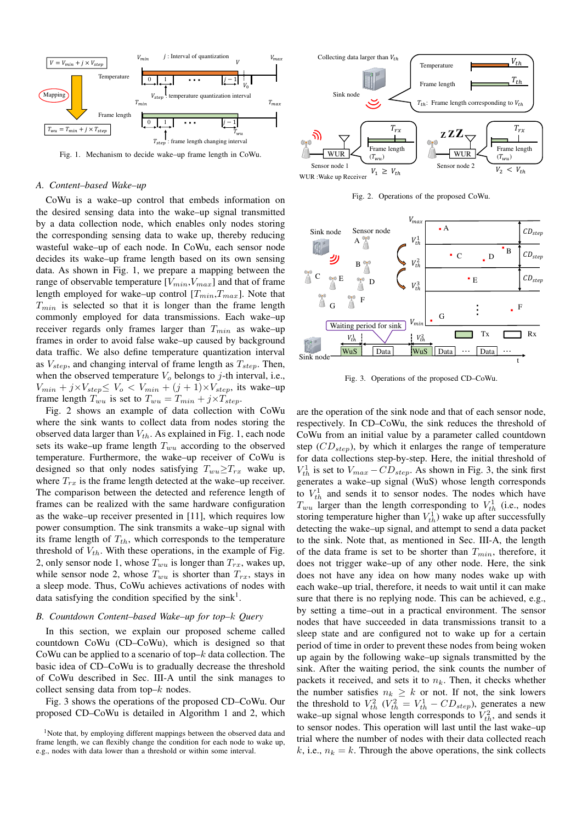

Fig. 1. Mechanism to decide wake–up frame length in CoWu.

#### *A. Content–based Wake–up*

CoWu is a wake–up control that embeds information on the desired sensing data into the wake–up signal transmitted by a data collection node, which enables only nodes storing the corresponding sensing data to wake up, thereby reducing wasteful wake–up of each node. In CoWu, each sensor node decides its wake–up frame length based on its own sensing data. As shown in Fig. 1, we prepare a mapping between the range of observable temperature [*Vmin*,*Vmax*] and that of frame length employed for wake–up control [*Tmin*,*Tmax*]. Note that *Tmin* is selected so that it is longer than the frame length commonly employed for data transmissions. Each wake–up receiver regards only frames larger than *Tmin* as wake–up frames in order to avoid false wake–up caused by background data traffic. We also define temperature quantization interval as *Vstep*, and changing interval of frame length as *Tstep*. Then, when the observed temperature *V<sup>o</sup>* belongs to *j*-th interval, i.e.,  $V_{min} + j \times V_{step} \leq V_o \leq V_{min} + (j+1) \times V_{step}$ , its wake–up frame length  $\hat{T_{wu}}$  is set to  $T_{wu} = T_{min} + j \times T_{step}$ .

Fig. 2 shows an example of data collection with CoWu where the sink wants to collect data from nodes storing the observed data larger than *Vth*. As explained in Fig. 1, each node sets its wake–up frame length *Twu* according to the observed temperature. Furthermore, the wake–up receiver of CoWu is designed so that only nodes satisfying  $T_{wu} > T_{rx}$  wake up, where  $T_{rx}$  is the frame length detected at the wake–up receiver. The comparison between the detected and reference length of frames can be realized with the same hardware configuration as the wake–up receiver presented in [11], which requires low power consumption. The sink transmits a wake–up signal with its frame length of *Tth*, which corresponds to the temperature threshold of  $V_{th}$ . With these operations, in the example of Fig. 2, only sensor node 1, whose  $T_{wu}$  is longer than  $T_{rx}$ , wakes up, while sensor node 2, whose  $T_{wu}$  is shorter than  $T_{rx}$ , stays in a sleep mode. Thus, CoWu achieves activations of nodes with data satisfying the condition specified by the  $sink<sup>1</sup>$ .

## *B. Countdown Content–based Wake–up for top–k Query*

In this section, we explain our proposed scheme called countdown CoWu (CD–CoWu), which is designed so that CoWu can be applied to a scenario of top–*k* data collection. The basic idea of CD–CoWu is to gradually decrease the threshold of CoWu described in Sec. III-A until the sink manages to collect sensing data from top–*k* nodes.

Fig. 3 shows the operations of the proposed CD–CoWu. Our proposed CD–CoWu is detailed in Algorithm 1 and 2, which





Fig. 3. Operations of the proposed CD–CoWu.

are the operation of the sink node and that of each sensor node, respectively. In CD–CoWu, the sink reduces the threshold of CoWu from an initial value by a parameter called countdown step (*CDstep*), by which it enlarges the range of temperature for data collections step-by-step. Here, the initial threshold of  $V_{th}$ <sup>1</sup> is set to  $V_{max} - CD_{step}$ . As shown in Fig. 3, the sink first generates a wake–up signal (WuS) whose length corresponds to  $V_{th}^1$  and sends it to sensor nodes. The nodes which have  $T_{wu}$  larger than the length corresponding to  $V_{th}^1$  (i.e., nodes storing temperature higher than  $V_{th}$ <sup>1</sup>) wake up after successfully detecting the wake–up signal, and attempt to send a data packet to the sink. Note that, as mentioned in Sec. III-A, the length of the data frame is set to be shorter than  $T_{min}$ , therefore, it does not trigger wake–up of any other node. Here, the sink does not have any idea on how many nodes wake up with each wake–up trial, therefore, it needs to wait until it can make sure that there is no replying node. This can be achieved, e.g., by setting a time–out in a practical environment. The sensor nodes that have succeeded in data transmissions transit to a sleep state and are configured not to wake up for a certain period of time in order to prevent these nodes from being woken up again by the following wake–up signals transmitted by the sink. After the waiting period, the sink counts the number of packets it received, and sets it to  $n_k$ . Then, it checks whether the number satisfies  $n_k \geq k$  or not. If not, the sink lowers the threshold to  $V_{th}^2$  ( $V_{th}^2 = V_{th}^1 - CD_{step}$ ), generates a new wake–up signal whose length corresponds to  $V_{th}^2$ , and sends it to sensor nodes. This operation will last until the last wake–up trial where the number of nodes with their data collected reach *k*, i.e.,  $n_k = k$ . Through the above operations, the sink collects

<sup>&</sup>lt;sup>1</sup>Note that, by employing different mappings between the observed data and frame length, we can flexibly change the condition for each node to wake up, e.g., nodes with data lower than a threshold or within some interval.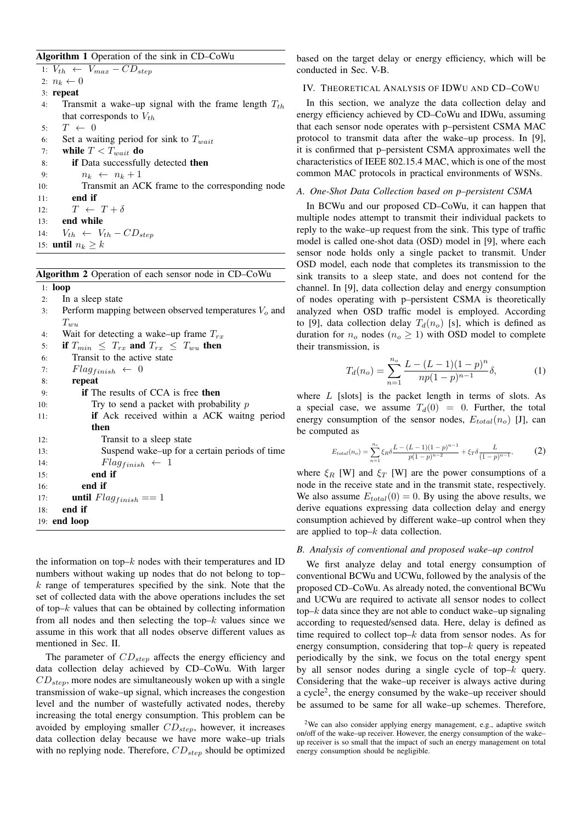## Algorithm 1 Operation of the sink in CD–CoWu

1: *Vth ← Vmax − CDstep* 2:  $n_k \leftarrow 0$ 3: repeat 4: Transmit a wake–up signal with the frame length *Tth* that corresponds to *Vth* 5:  $T \leftarrow 0$ 6: Set a waiting period for sink to *Twait* 7: while  $T < T_{wait}$  do 8: if Data successfully detected then 9:  $n_k \leftarrow n_k + 1$ 10: Transmit an ACK frame to the corresponding node 11: end if 12:  $T \leftarrow T + \delta$ 13: end while 14:  $V_{th} \leftarrow V_{th} - CD_{step}$ 15: **until**  $n_k \geq k$ 

## Algorithm 2 Operation of each sensor node in CD–CoWu

1: loop

18: end if 19: end loop

mentioned in Sec. II.

- 2: In a sleep state
- 3: Perform mapping between observed temperatures *V<sup>o</sup>* and  $T_{wu}$

4: Wait for detecting a wake–up frame *Trx* 5: if  $T_{min} \leq T_{rx}$  and  $T_{rx} \leq T_{wu}$  then 6: Transit to the active state 7:  $Flag_{finish} \leftarrow 0$ 8: repeat 9: if The results of CCA is free then 10: Try to send a packet with probability *p* 11: if Ack received within a ACK waitng period then 12: Transit to a sleep state 13: Suspend wake–up for a certain periods of time 14:  $Flag_{finish} \leftarrow 1$ 15: end if 16: end if 17: **until**  $Flag_{finish} == 1$ 

the information on top– $k$  nodes with their temperatures and ID numbers without waking up nodes that do not belong to top– *k* range of temperatures specified by the sink. Note that the set of collected data with the above operations includes the set of top–*k* values that can be obtained by collecting information from all nodes and then selecting the top–*k* values since we assume in this work that all nodes observe different values as

The parameter of *CDstep* affects the energy efficiency and data collection delay achieved by CD–CoWu. With larger *CDstep*, more nodes are simultaneously woken up with a single transmission of wake–up signal, which increases the congestion level and the number of wastefully activated nodes, thereby increasing the total energy consumption. This problem can be avoided by employing smaller *CDstep*, however, it increases data collection delay because we have more wake–up trials with no replying node. Therefore, *CDstep* should be optimized based on the target delay or energy efficiency, which will be conducted in Sec. V-B.

## IV. THEORETICAL ANALYSIS OF IDWU AND CD–COWU

In this section, we analyze the data collection delay and energy efficiency achieved by CD–CoWu and IDWu, assuming that each sensor node operates with p–persistent CSMA MAC protocol to transmit data after the wake–up process. In [9], it is confirmed that p–persistent CSMA approximates well the characteristics of IEEE 802.15.4 MAC, which is one of the most common MAC protocols in practical environments of WSNs.

#### *A. One-Shot Data Collection based on p–persistent CSMA*

In BCWu and our proposed CD–CoWu, it can happen that multiple nodes attempt to transmit their individual packets to reply to the wake–up request from the sink. This type of traffic model is called one-shot data (OSD) model in [9], where each sensor node holds only a single packet to transmit. Under OSD model, each node that completes its transmission to the sink transits to a sleep state, and does not contend for the channel. In [9], data collection delay and energy consumption of nodes operating with p–persistent CSMA is theoretically analyzed when OSD traffic model is employed. According to [9], data collection delay  $T_d(n_o)$  [s], which is defined as duration for  $n<sub>o</sub>$  nodes ( $n<sub>o</sub> \ge 1$ ) with OSD model to complete their transmission, is

$$
T_d(n_o) = \sum_{n=1}^{n_o} \frac{L - (L-1)(1-p)^n}{np(1-p)^{n-1}} \delta,
$$
 (1)

where *L* [slots] is the packet length in terms of slots. As a special case, we assume  $T_d(0) = 0$ . Further, the total energy consumption of the sensor nodes,  $E_{total}(n_o)$  [J], can be computed as

$$
E_{total}(n_o) = \sum_{n=1}^{n_o} \xi_R \delta \frac{L - (L-1)(1-p)^{n-1}}{p(1-p)^{n-2}} + \xi_T \delta \frac{L}{(1-p)^{n-1}},
$$
 (2)

where  $\xi_R$  [W] and  $\xi_T$  [W] are the power consumptions of a node in the receive state and in the transmit state, respectively. We also assume  $E_{total}(0) = 0$ . By using the above results, we derive equations expressing data collection delay and energy consumption achieved by different wake–up control when they are applied to top–*k* data collection.

## *B. Analysis of conventional and proposed wake–up control*

We first analyze delay and total energy consumption of conventional BCWu and UCWu, followed by the analysis of the proposed CD–CoWu. As already noted, the conventional BCWu and UCWu are required to activate all sensor nodes to collect top–*k* data since they are not able to conduct wake–up signaling according to requested/sensed data. Here, delay is defined as time required to collect top–*k* data from sensor nodes. As for energy consumption, considering that top–*k* query is repeated periodically by the sink, we focus on the total energy spent by all sensor nodes during a single cycle of top–*k* query. Considering that the wake–up receiver is always active during a cycle<sup>2</sup>, the energy consumed by the wake–up receiver should be assumed to be same for all wake–up schemes. Therefore,

<sup>2</sup>We can also consider applying energy management, e.g., adaptive switch on/off of the wake–up receiver. However, the energy consumption of the wake– up receiver is so small that the impact of such an energy management on total energy consumption should be negligible.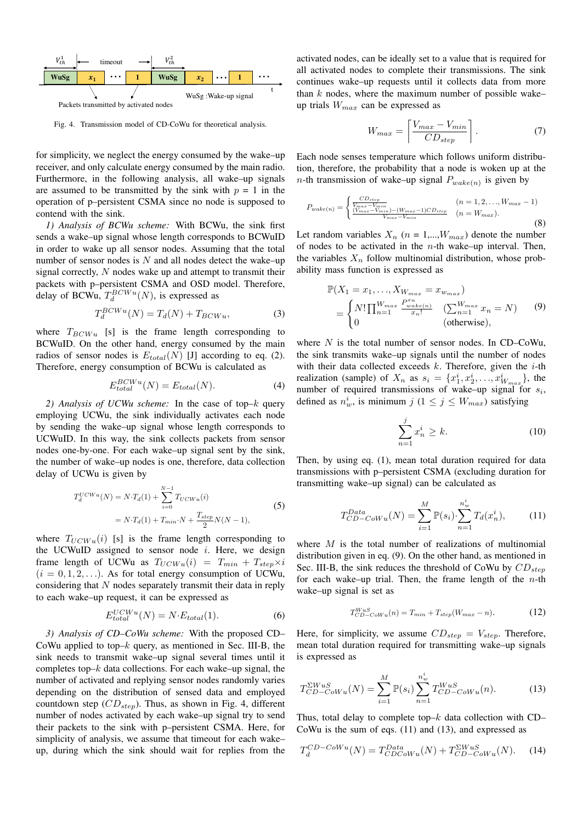

Fig. 4. Transmission model of CD-CoWu for theoretical analysis.

for simplicity, we neglect the energy consumed by the wake–up receiver, and only calculate energy consumed by the main radio. Furthermore, in the following analysis, all wake–up signals are assumed to be transmitted by the sink with  $p = 1$  in the operation of p–persistent CSMA since no node is supposed to contend with the sink.

*1) Analysis of BCWu scheme:* With BCWu, the sink first sends a wake–up signal whose length corresponds to BCWuID in order to wake up all sensor nodes. Assuming that the total number of sensor nodes is *N* and all nodes detect the wake–up signal correctly, *N* nodes wake up and attempt to transmit their packets with p–persistent CSMA and OSD model. Therefore, delay of BCWu,  $T_d^{BCWu}(N)$ , is expressed as

$$
T_d^{BCWu}(N) = T_d(N) + T_{BCWu},\tag{3}
$$

where  $T_{BCWu}$  [s] is the frame length corresponding to BCWuID. On the other hand, energy consumed by the main radios of sensor nodes is  $E_{total}(N)$  [J] according to eq. (2). Therefore, energy consumption of BCWu is calculated as

$$
E_{total}^{BCWu}(N) = E_{total}(N). \tag{4}
$$

*2) Analysis of UCWu scheme:* In the case of top–*k* query employing UCWu, the sink individually activates each node by sending the wake–up signal whose length corresponds to UCWuID. In this way, the sink collects packets from sensor nodes one-by-one. For each wake–up signal sent by the sink, the number of wake–up nodes is one, therefore, data collection delay of UCWu is given by

$$
T_d^{UCWu}(N) = N \cdot T_d(1) + \sum_{i=0}^{N-1} T_{UCWu}(i)
$$
  
=  $N \cdot T_d(1) + T_{min} \cdot N + \frac{T_{step}}{2} N(N-1),$  (5)

where  $T_{UCWu}(i)$  [s] is the frame length corresponding to the UCWuID assigned to sensor node *i*. Here, we design frame length of UCWu as  $T_{UCWu}(i) = T_{min} + T_{step} \times i$  $(i = 0, 1, 2, \ldots)$ . As for total energy consumption of UCWu, considering that *N* nodes separately transmit their data in reply to each wake–up request, it can be expressed as

$$
E_{total}^{UCWu}(N) = N \cdot E_{total}(1). \tag{6}
$$

*3) Analysis of CD–CoWu scheme:* With the proposed CD– CoWu applied to top–*k* query, as mentioned in Sec. III-B, the sink needs to transmit wake–up signal several times until it completes top–*k* data collections. For each wake–up signal, the number of activated and replying sensor nodes randomly varies depending on the distribution of sensed data and employed countdown step (*CDstep*). Thus, as shown in Fig. 4, different number of nodes activated by each wake–up signal try to send their packets to the sink with p–persistent CSMA. Here, for simplicity of analysis, we assume that timeout for each wake– up, during which the sink should wait for replies from the activated nodes, can be ideally set to a value that is required for all activated nodes to complete their transmissions. The sink continues wake–up requests until it collects data from more than *k* nodes, where the maximum number of possible wake– up trials *Wmax* can be expressed as

$$
W_{max} = \left\lceil \frac{V_{max} - V_{min}}{CD_{step}} \right\rceil. \tag{7}
$$

Each node senses temperature which follows uniform distribution, therefore, the probability that a node is woken up at the *n*-th transmission of wake–up signal  $P_{wake(n)}$  is given by

$$
P_{wake(n)} = \begin{cases} \frac{CD_{step}}{V_{max} - V_{min}} & (n = 1, 2, ..., W_{max} - 1) \\ \frac{(V_{max} - V_{min}) - (W_{max} - 1)CD_{step}}{V_{max} - V_{min}} & (n = W_{max}). \end{cases}
$$
(8)

Let random variables  $X_n$  ( $n = 1,...,W_{max}$ ) denote the number of nodes to be activated in the *n*-th wake–up interval. Then, the variables  $X_n$  follow multinomial distribution, whose probability mass function is expressed as

$$
\mathbb{P}(X_1 = x_1, ..., X_{W_{max}} = x_{w_{max}})
$$
\n
$$
= \begin{cases}\nN! \prod_{n=1}^{W_{max}} \frac{P_{wake(n)}^{x_n}}{x_n!} & (\sum_{n=1}^{W_{max}} x_n = N) \\
0 & (\text{otherwise}),\n\end{cases} (9)
$$

where *N* is the total number of sensor nodes. In CD–CoWu, the sink transmits wake–up signals until the number of nodes with their data collected exceeds *k*. Therefore, given the *i*-th realization (sample) of  $X_n$  as  $s_i = \{x_1^i, x_2^i, \ldots, x_{W_{max}}^i\}$ , the number of required transmissions of wake–up signal for *s<sup>i</sup>* , defined as  $n_w^i$ , is minimum  $j$  ( $1 \le j \le W_{max}$ ) satisfying

$$
\sum_{n=1}^{j} x_n^i \ge k. \tag{10}
$$

Then, by using eq. (1), mean total duration required for data transmissions with p–persistent CSMA (excluding duration for transmitting wake–up signal) can be calculated as

$$
T_{CD-CoWu}^{Data}(N) = \sum_{i=1}^{M} \mathbb{P}(s_i) \cdot \sum_{n=1}^{n_w^i} T_d(x_n^i), \quad (11)
$$

where *M* is the total number of realizations of multinomial distribution given in eq. (9). On the other hand, as mentioned in Sec. III-B, the sink reduces the threshold of CoWu by *CDstep* for each wake–up trial. Then, the frame length of the *n*-th wake–up signal is set as

$$
T_{CD-CoWu}^{WuS}(n) = T_{min} + T_{step}(W_{max} - n). \tag{12}
$$

Here, for simplicity, we assume  $CD_{step} = V_{step}$ . Therefore, mean total duration required for transmitting wake–up signals is expressed as

$$
T_{CD-CoWu}^{\Sigma WuS}(N) = \sum_{i=1}^{M} \mathbb{P}(s_i) \sum_{n=1}^{n_w^i} T_{CD-CoWu}^{WuS}(n).
$$
 (13)

Thus, total delay to complete top–*k* data collection with CD– CoWu is the sum of eqs. (11) and (13), and expressed as

$$
T_d^{CD-CoWu}(N) = T_{CDCoWu}^{Data}(N) + T_{CD-CoWu}^{SWuS}(N). \tag{14}
$$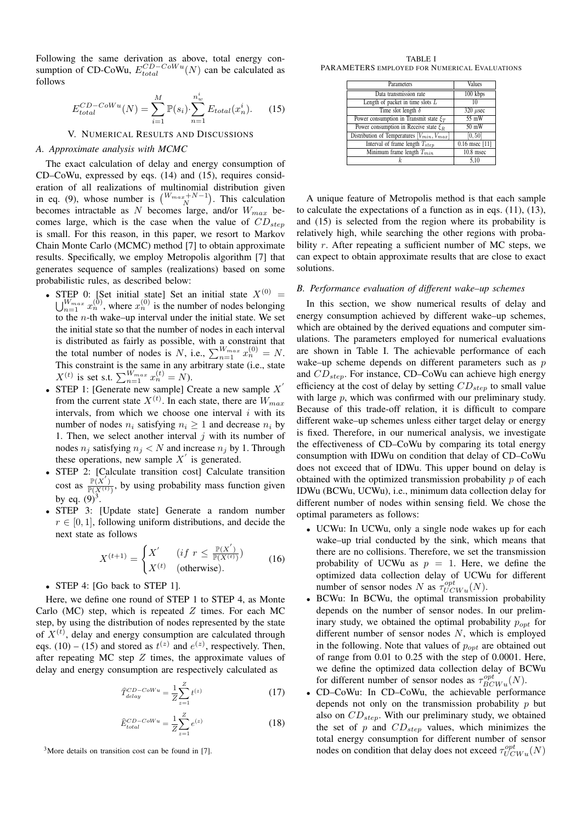Following the same derivation as above, total energy consumption of CD-CoWu,  $E_{total}^{CD-CoWu}(N)$  can be calculated as follows

$$
E_{total}^{CD-CoWu}(N) = \sum_{i=1}^{M} \mathbb{P}(s_i) \cdot \sum_{n=1}^{n_w^i} E_{total}(x_n^i).
$$
 (15)

# V. NUMERICAL RESULTS AND DISCUSSIONS

## *A. Approximate analysis with MCMC*

The exact calculation of delay and energy consumption of CD–CoWu, expressed by eqs. (14) and (15), requires consideration of all realizations of multinomial distribution given in eq. (9), whose number is  $\binom{W_{max}+N-1}{N}$ . This calculation becomes intractable as *N* becomes large, and/or *Wmax* becomes large, which is the case when the value of *CDstep* is small. For this reason, in this paper, we resort to Markov Chain Monte Carlo (MCMC) method [7] to obtain approximate results. Specifically, we employ Metropolis algorithm [7] that generates sequence of samples (realizations) based on some probabilistic rules, as described below:

- STEP 0: [Set initial state] Set an initial state  $X^{(0)} = \bigcup_{n=1}^{W_{max}} x_n^{(0)}$ , where  $x_n^{(0)}$  is the number of nodes belonging to the *n*-th wake–up interval under the initial state. We set the initial state so that the number of nodes in each interval is distributed as fairly as possible, with a constraint that the total number of nodes is *N*, i.e.,  $\sum_{n=1}^{W_{max}} x_n^{(0)} = N$ . This constraint is the same in any arbitrary state (i.e., state  $X^{(t)}$  is set s.t.  $\sum_{n=1}^{W_{max}} x_n^{(t)} = N$ .<br> *STEP* 1. *Consenter may complet Create a name couple Y*
- *•* STEP 1: [Generate new sample] Create a new sample *X* from the current state  $X^{(t)}$ . In each state, there are  $W_{max}$ intervals, from which we choose one interval *i* with its number of nodes  $n_i$  satisfying  $n_i \geq 1$  and decrease  $n_i$  by 1. Then, we select another interval *j* with its number of nodes  $n_j$  satisfying  $n_j < N$  and increase  $n_j$  by 1. Through these operations, new sample *X ′* is generated.
- *•* STEP 2: [Calculate transition cost] Calculate transition cost as  $\frac{\mathbb{P}(X')}{\mathbb{P}(X(t))}$  $\frac{\mathbb{P}(X)}{\mathbb{P}(X^{(t)})}$ , by using probability mass function given by eq.  $(9)^3$ .
- *•* STEP 3: [Update state] Generate a random number  $r \in [0, 1]$ , following uniform distributions, and decide the next state as follows

$$
X^{(t+1)} = \begin{cases} X' & (if \ r \le \frac{\mathbb{P}(X')}{\mathbb{P}(X^{(t)})}) \\ X^{(t)} & \text{(otherwise)}. \end{cases} \tag{16}
$$

*•* STEP 4: [Go back to STEP 1].

Here, we define one round of STEP 1 to STEP 4, as Monte Carlo (MC) step, which is repeated *Z* times. For each MC step, by using the distribution of nodes represented by the state of  $X^{(t)}$ , delay and energy consumption are calculated through eqs. (10) – (15) and stored as  $t^{(z)}$  and  $e^{(z)}$ , respectively. Then, after repeating MC step *Z* times, the approximate values of delay and energy consumption are respectively calculated as

$$
\widehat{T}_{delay}^{CD-CoWu} = \frac{1}{Z} \sum_{z=1}^{Z} t^{(z)} \tag{17}
$$

$$
\widehat{E}_{total}^{CD-CoWu} = \frac{1}{Z} \sum_{z=1}^{Z} e^{(z)} \tag{18}
$$

 $3$ More details on transition cost can be found in [7].

TABLE I PARAMETERS EMPLOYED FOR NUMERICAL EVALUATIONS

| <b>Parameters</b>                                 | <b>Values</b>               |
|---------------------------------------------------|-----------------------------|
| Data transmission rate                            | 100 kbps                    |
| Length of packet in time slots $L$                | 10                          |
| Time slot length $\delta$                         | $320 \mu$ sec               |
| Power consumption in Transmit state $\xi_T$       | $55$ mW                     |
| Power consumption in Receive state $\xi_R$        | $50$ mW                     |
| Distribution of Temperatures $[V_{min}, V_{max}]$ | [0, 50]                     |
| Interval of frame length $T_{step}$               | $\overline{0.16}$ msec [11] |
| Minimum frame length $T_{min}$                    | $10.8$ msec                 |
|                                                   | 5.10                        |

A unique feature of Metropolis method is that each sample to calculate the expectations of a function as in eqs. (11), (13), and (15) is selected from the region where its probability is relatively high, while searching the other regions with probability *r*. After repeating a sufficient number of MC steps, we can expect to obtain approximate results that are close to exact solutions.

## *B. Performance evaluation of different wake–up schemes*

In this section, we show numerical results of delay and energy consumption achieved by different wake–up schemes, which are obtained by the derived equations and computer simulations. The parameters employed for numerical evaluations are shown in Table I. The achievable performance of each wake–up scheme depends on different parameters such as *p* and *CDstep*. For instance, CD–CoWu can achieve high energy efficiency at the cost of delay by setting *CDstep* to small value with large *p*, which was confirmed with our preliminary study. Because of this trade-off relation, it is difficult to compare different wake–up schemes unless either target delay or energy is fixed. Therefore, in our numerical analysis, we investigate the effectiveness of CD–CoWu by comparing its total energy consumption with IDWu on condition that delay of CD–CoWu does not exceed that of IDWu. This upper bound on delay is obtained with the optimized transmission probability *p* of each IDWu (BCWu, UCWu), i.e., minimum data collection delay for different number of nodes within sensing field. We chose the optimal parameters as follows:

- *•* UCWu: In UCWu, only a single node wakes up for each wake–up trial conducted by the sink, which means that there are no collisions. Therefore, we set the transmission probability of UCWu as  $p = 1$ . Here, we define the optimized data collection delay of UCWu for different number of sensor nodes *N* as  $\tau_{UCWu}^{opt}(N)$ .
- *•* BCWu: In BCWu, the optimal transmission probability depends on the number of sensor nodes. In our preliminary study, we obtained the optimal probability  $p_{opt}$  for different number of sensor nodes *N*, which is employed in the following. Note that values of *popt* are obtained out of range from 0.01 to 0.25 with the step of 0.0001. Here, we define the optimized data collection delay of BCWu for different number of sensor nodes as  $\tau_{BCWu}^{opt}(N)$ .
- *•* CD–CoWu: In CD–CoWu, the achievable performance depends not only on the transmission probability *p* but also on *CDstep*. With our preliminary study, we obtained the set of *p* and *CDstep* values, which minimizes the total energy consumption for different number of sensor nodes on condition that delay does not exceed  $\tau_{UCWu}^{opt}(N)$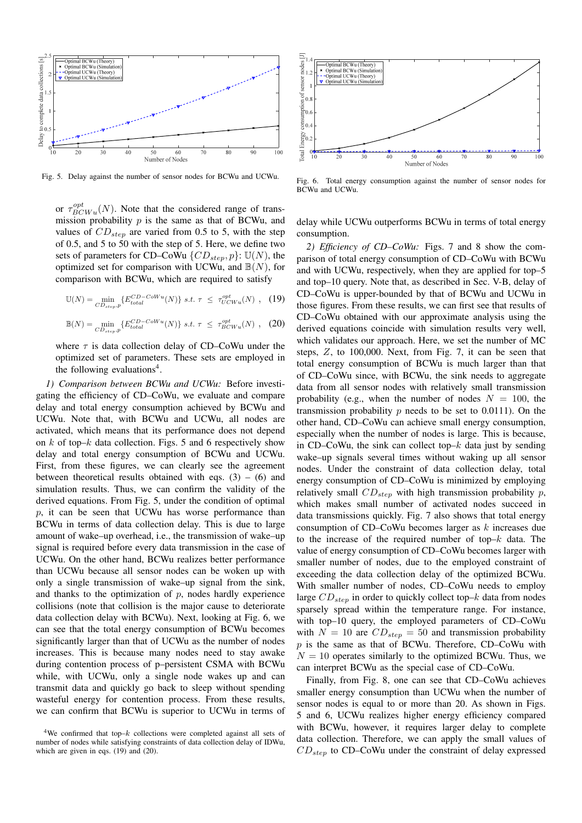

Fig. 5. Delay against the number of sensor nodes for BCWu and UCWu.

or  $\tau_{BCWu}^{opt}(N)$ . Note that the considered range of transmission probability *p* is the same as that of BCWu, and values of  $CD_{step}$  are varied from 0.5 to 5, with the step of 0.5, and 5 to 50 with the step of 5. Here, we define two sets of parameters for CD–CoWu  $\{CD_{step}, p\}$ :  $\mathbb{U}(N)$ , the optimized set for comparison with UCWu, and  $\mathbb{B}(N)$ , for comparison with BCWu, which are required to satisfy

$$
\mathbb{U}(N) = \min_{CD_{step,p}} \{ E_{total}^{CD-CoWu}(N) \} \ s.t. \ \tau \leq \ \tau_{UCWu}^{opt}(N) \ , \ \ (19)
$$

$$
\mathbb{B}(N) = \min_{CD_{step},p} \{ E_{total}^{CD-CoWu}(N) \} \ s.t. \ \tau \ \leq \ \tau_{BCWu}^{opt}(N) \ , \eqno(20)
$$

where *τ* is data collection delay of CD–CoWu under the optimized set of parameters. These sets are employed in the following evaluations<sup>4</sup>.

*1) Comparison between BCWu and UCWu:* Before investigating the efficiency of CD–CoWu, we evaluate and compare delay and total energy consumption achieved by BCWu and UCWu. Note that, with BCWu and UCWu, all nodes are activated, which means that its performance does not depend on *k* of top–*k* data collection. Figs. 5 and 6 respectively show delay and total energy consumption of BCWu and UCWu. First, from these figures, we can clearly see the agreement between theoretical results obtained with eqs.  $(3) - (6)$  and simulation results. Thus, we can confirm the validity of the derived equations. From Fig. 5, under the condition of optimal *p*, it can be seen that UCWu has worse performance than BCWu in terms of data collection delay. This is due to large amount of wake–up overhead, i.e., the transmission of wake–up signal is required before every data transmission in the case of UCWu. On the other hand, BCWu realizes better performance than UCWu because all sensor nodes can be woken up with only a single transmission of wake–up signal from the sink, and thanks to the optimization of *p*, nodes hardly experience collisions (note that collision is the major cause to deteriorate data collection delay with BCWu). Next, looking at Fig. 6, we can see that the total energy consumption of BCWu becomes significantly larger than that of UCWu as the number of nodes increases. This is because many nodes need to stay awake during contention process of p–persistent CSMA with BCWu while, with UCWu, only a single node wakes up and can transmit data and quickly go back to sleep without spending wasteful energy for contention process. From these results, we can confirm that BCWu is superior to UCWu in terms of



Fig. 6. Total energy consumption against the number of sensor nodes for BCWu and UCWu.

delay while UCWu outperforms BCWu in terms of total energy consumption.

*2) Efficiency of CD–CoWu:* Figs. 7 and 8 show the comparison of total energy consumption of CD–CoWu with BCWu and with UCWu, respectively, when they are applied for top–5 and top–10 query. Note that, as described in Sec. V-B, delay of CD–CoWu is upper-bounded by that of BCWu and UCWu in those figures. From these results, we can first see that results of CD–CoWu obtained with our approximate analysis using the derived equations coincide with simulation results very well, which validates our approach. Here, we set the number of MC steps, *Z*, to 100,000. Next, from Fig. 7, it can be seen that total energy consumption of BCWu is much larger than that of CD–CoWu since, with BCWu, the sink needs to aggregate data from all sensor nodes with relatively small transmission probability (e.g., when the number of nodes  $N = 100$ , the transmission probability *p* needs to be set to 0.0111). On the other hand, CD–CoWu can achieve small energy consumption, especially when the number of nodes is large. This is because, in CD–CoWu, the sink can collect top–*k* data just by sending wake–up signals several times without waking up all sensor nodes. Under the constraint of data collection delay, total energy consumption of CD–CoWu is minimized by employing relatively small *CDstep* with high transmission probability *p*, which makes small number of activated nodes succeed in data transmissions quickly. Fig. 7 also shows that total energy consumption of CD–CoWu becomes larger as *k* increases due to the increase of the required number of top–*k* data. The value of energy consumption of CD–CoWu becomes larger with smaller number of nodes, due to the employed constraint of exceeding the data collection delay of the optimized BCWu. With smaller number of nodes, CD–CoWu needs to employ large *CDstep* in order to quickly collect top–*k* data from nodes sparsely spread within the temperature range. For instance, with top–10 query, the employed parameters of CD–CoWu with  $N = 10$  are  $CD_{step} = 50$  and transmission probability *p* is the same as that of BCWu. Therefore, CD–CoWu with  $N = 10$  operates similarly to the optimized BCWu. Thus, we can interpret BCWu as the special case of CD–CoWu.

Finally, from Fig. 8, one can see that CD–CoWu achieves smaller energy consumption than UCWu when the number of sensor nodes is equal to or more than 20. As shown in Figs. 5 and 6, UCWu realizes higher energy efficiency compared with BCWu, however, it requires larger delay to complete data collection. Therefore, we can apply the small values of *CDstep* to CD–CoWu under the constraint of delay expressed

<sup>4</sup>We confirmed that top–*k* collections were completed against all sets of number of nodes while satisfying constraints of data collection delay of IDWu, which are given in eqs. (19) and (20).